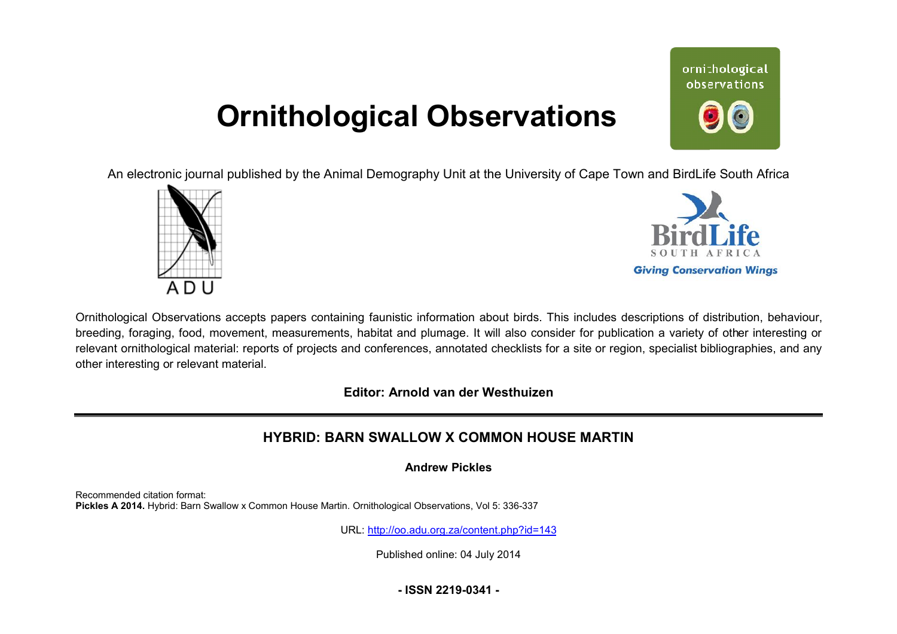## **Ornithological Observations**

ornithological observations

An electronic journal published by the Animal Demography Unit at the University of Cape Town and BirdLife South Africa





Ornithological Observations accepts papers containing faunistic information about birds. This includes descriptions of distribution, behaviour, breeding, foraging, food, movement, measurements, habitat and plumage. It will also consider for publication a variety of other interesting or relevant ornithological material: reports of projects and conferences, annotated checklists for a site or region, specialist bibliographies, and any other interesting or relevant material.

**Editor: Arnold van der Westhuizen**

## **HYBRID: BARN SWALLOW X COMMON HOUSE MARTIN**

**Andrew Pickles** 

Recommended citation format: Pickles A 2014. Hybrid: Barn Swallow x Common House Martin. Ornithological Observations, Vol 5: 336-337

URL: <http://oo.adu.org.za/content.php?id=143>

Published online: 04 July 2014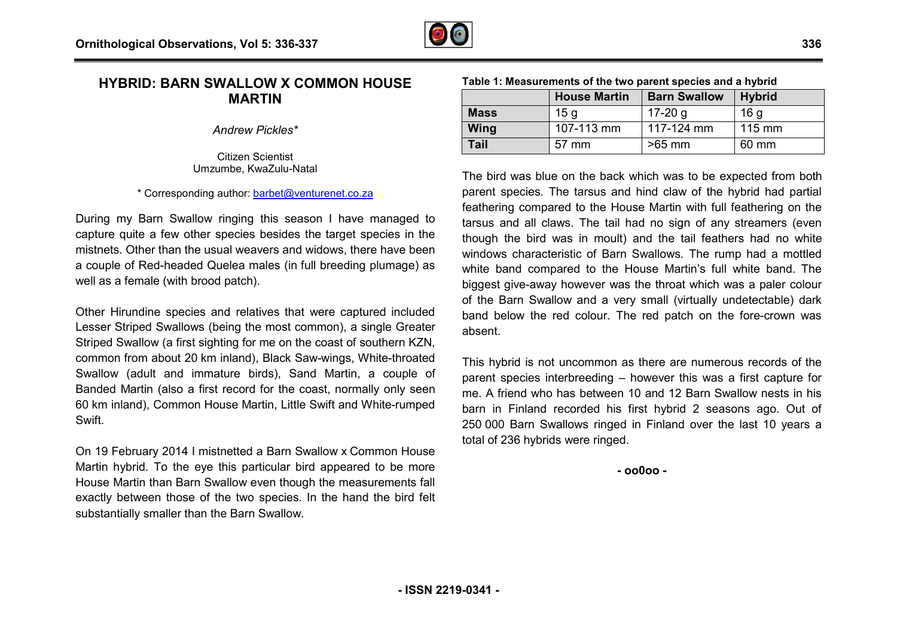## **HYBRID: BARN SWALLOW X COMMON HOUSE MARTIN**

*Andrew Pickles\**

Citizen Scientist Umzumbe, KwaZulu-Natal

\* Corresponding author: [barbet@venturenet.co.za](mailto:barbet@venturenet.co.za)

During my Barn Swallow ringing this season I have managed to capture quite a few other species besides the target species in the mistnets. Other than the usual weavers and widows, there have been a couple of Red-headed Quelea males (in full breeding plumage) as well as a female (with brood patch).

Other Hirundine species and relatives that were captured included Lesser Striped Swallows (being the most common), a single Greater Striped Swallow (a first sighting for me on the coast of southern KZN, Striped Swallow (a first sighting for me on the coast of southern KZN,<br>common from about 20 km inland), Black Saw-wings, White-throated Swallow (adult and immature birds), Sand Martin, a couple of Banded Martin (also a first record for the coast, normally only seen 60 km inland), Common House Martin, Little Swift and White-rumped **Swift.** 

On 19 February 2014 I mistnetted a Barn Swallow x Common House Martin hybrid. To the eye this particular bird appeared to be more House Martin than Barn Swallow even though the measurements fall exactly between those of the two species. In the hand the bird felt substantially smaller than the Barn Swallow.

**Mass** 15 g 17-20 g

**Tail** 57 mm >65 mm

**Table 1: Measurements of the two parent species and a hybrid**

**House Martin Barn** Swallow

The bird was blue on the back which was to be expected from both parent species. The tarsus and hind claw of the hybrid had partial feathering compared to the House Martin with full feathering on the feathering compared to the House Martin with full feathering on the<br>tarsus and all claws. The tail had no sign of any streamers (even though the bird was in moult) and the tail feathers had no white windows characteristic of Barn Swallows. The rump had a mottled white band compared to the House Martin's full white band. The biggest give-away however was the throat which was a paler colour biggest give-away however was the throat which was a paler colour<br>of the Barn Swallow and a very small (virtually undetectable) dark band below the red colour. The red patch on the fore-crown was absent.

This hybrid is not uncommon as there are numerous records of the parent species interbreeding – however this was a first capture for me. A friend who has between 10 and 12 Barn Swallow nests in his me. A friend who has between 10 and 12 Barn Swallow nests in his<br>barn in Finland recorded his first hybrid 2 seasons ago. Out of 250 000 Barn Swallows ringed in Finland over the last 10 years a total of 236 hybrids were ringed.

**- oo0oo -** 

 **Hybrid** 16 g 115 mm 60 mm